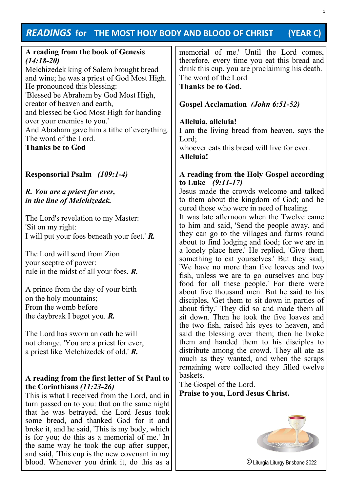# *READINGS* **for THE MOST HOLY BODY AND BLOOD OF CHRIST (YEAR C)**

| A reading from the book of Genesis<br>$(14:18-20)$<br>Melchizedek king of Salem brought bread<br>and wine; he was a priest of God Most High.<br>He pronounced this blessing:<br>'Blessed be Abraham by God Most High,<br>creator of heaven and earth,<br>and blessed be God Most High for handing<br>over your enemies to you.'<br>And Abraham gave him a tithe of everything.<br>The word of the Lord.<br><b>Thanks be to God</b> | memorial of me.' Until the Lord comes,<br>therefore, every time you eat this bread and<br>drink this cup, you are proclaiming his death.<br>The word of the Lord<br><b>Thanks be to God.</b><br><b>Gospel Acclamation</b> ( <i>John 6:51-52</i> )<br>Alleluia, alleluia!<br>I am the living bread from heaven, says the<br>Lord;<br>whoever eats this bread will live for ever.<br>Alleluia! |
|------------------------------------------------------------------------------------------------------------------------------------------------------------------------------------------------------------------------------------------------------------------------------------------------------------------------------------------------------------------------------------------------------------------------------------|----------------------------------------------------------------------------------------------------------------------------------------------------------------------------------------------------------------------------------------------------------------------------------------------------------------------------------------------------------------------------------------------|
| <b>Responsorial Psalm</b> (109:1-4)                                                                                                                                                                                                                                                                                                                                                                                                | A reading from the Holy Gospel according<br>to Luke $(9:11-17)$                                                                                                                                                                                                                                                                                                                              |
| R. You are a priest for ever,<br>in the line of Melchizedek.                                                                                                                                                                                                                                                                                                                                                                       | Jesus made the crowds welcome and talked<br>to them about the kingdom of God; and he<br>cured those who were in need of healing.                                                                                                                                                                                                                                                             |
| The Lord's revelation to my Master:                                                                                                                                                                                                                                                                                                                                                                                                | It was late afternoon when the Twelve came                                                                                                                                                                                                                                                                                                                                                   |
| 'Sit on my right:                                                                                                                                                                                                                                                                                                                                                                                                                  | to him and said, 'Send the people away, and                                                                                                                                                                                                                                                                                                                                                  |
| I will put your foes beneath your feet.' $R$ .                                                                                                                                                                                                                                                                                                                                                                                     | they can go to the villages and farms round<br>about to find lodging and food; for we are in                                                                                                                                                                                                                                                                                                 |
| The Lord will send from Zion                                                                                                                                                                                                                                                                                                                                                                                                       | a lonely place here.' He replied, 'Give them                                                                                                                                                                                                                                                                                                                                                 |
| your sceptre of power:                                                                                                                                                                                                                                                                                                                                                                                                             | something to eat yourselves.' But they said,                                                                                                                                                                                                                                                                                                                                                 |
| rule in the midst of all your foes. $R$ .                                                                                                                                                                                                                                                                                                                                                                                          | 'We have no more than five loaves and two<br>fish, unless we are to go ourselves and buy<br>food for all these people.' For there were                                                                                                                                                                                                                                                       |
| A prince from the day of your birth                                                                                                                                                                                                                                                                                                                                                                                                | about five thousand men. But he said to his                                                                                                                                                                                                                                                                                                                                                  |
| on the holy mountains;                                                                                                                                                                                                                                                                                                                                                                                                             | disciples, 'Get them to sit down in parties of                                                                                                                                                                                                                                                                                                                                               |
| From the womb before                                                                                                                                                                                                                                                                                                                                                                                                               | about fifty.' They did so and made them all                                                                                                                                                                                                                                                                                                                                                  |
| the daybreak I begot you. $R$ .                                                                                                                                                                                                                                                                                                                                                                                                    | sit down. Then he took the five loaves and<br>the two fish, raised his eyes to heaven, and                                                                                                                                                                                                                                                                                                   |
| The Lord has sworn an oath he will                                                                                                                                                                                                                                                                                                                                                                                                 | said the blessing over them; then he broke                                                                                                                                                                                                                                                                                                                                                   |
| not change. 'You are a priest for ever,                                                                                                                                                                                                                                                                                                                                                                                            | them and handed them to his disciples to                                                                                                                                                                                                                                                                                                                                                     |
| a priest like Melchizedek of old.' $\bm{R}$ .                                                                                                                                                                                                                                                                                                                                                                                      | distribute among the crowd. They all ate as<br>much as they wanted, and when the scraps<br>remaining were collected they filled twelve                                                                                                                                                                                                                                                       |
| A reading from the first letter of St Paul to                                                                                                                                                                                                                                                                                                                                                                                      | baskets.                                                                                                                                                                                                                                                                                                                                                                                     |
| the Corinthians $(11:23-26)$                                                                                                                                                                                                                                                                                                                                                                                                       | The Gospel of the Lord.                                                                                                                                                                                                                                                                                                                                                                      |
| This is what I received from the Lord, and in                                                                                                                                                                                                                                                                                                                                                                                      | Praise to you, Lord Jesus Christ.                                                                                                                                                                                                                                                                                                                                                            |
| turn passed on to you: that on the same night                                                                                                                                                                                                                                                                                                                                                                                      |                                                                                                                                                                                                                                                                                                                                                                                              |
| that he was betrayed, the Lord Jesus took                                                                                                                                                                                                                                                                                                                                                                                          |                                                                                                                                                                                                                                                                                                                                                                                              |
| some bread, and thanked God for it and                                                                                                                                                                                                                                                                                                                                                                                             |                                                                                                                                                                                                                                                                                                                                                                                              |
| broke it, and he said, 'This is my body, which                                                                                                                                                                                                                                                                                                                                                                                     |                                                                                                                                                                                                                                                                                                                                                                                              |
| is for you; do this as a memorial of me.' In                                                                                                                                                                                                                                                                                                                                                                                       |                                                                                                                                                                                                                                                                                                                                                                                              |
| the same way he took the cup after supper,                                                                                                                                                                                                                                                                                                                                                                                         |                                                                                                                                                                                                                                                                                                                                                                                              |
| and said, This cup is the new covenant in my                                                                                                                                                                                                                                                                                                                                                                                       |                                                                                                                                                                                                                                                                                                                                                                                              |

blood. Whenever you drink it, do this as a || C Liturgia Liturgia Liturgy Brisbane 2022